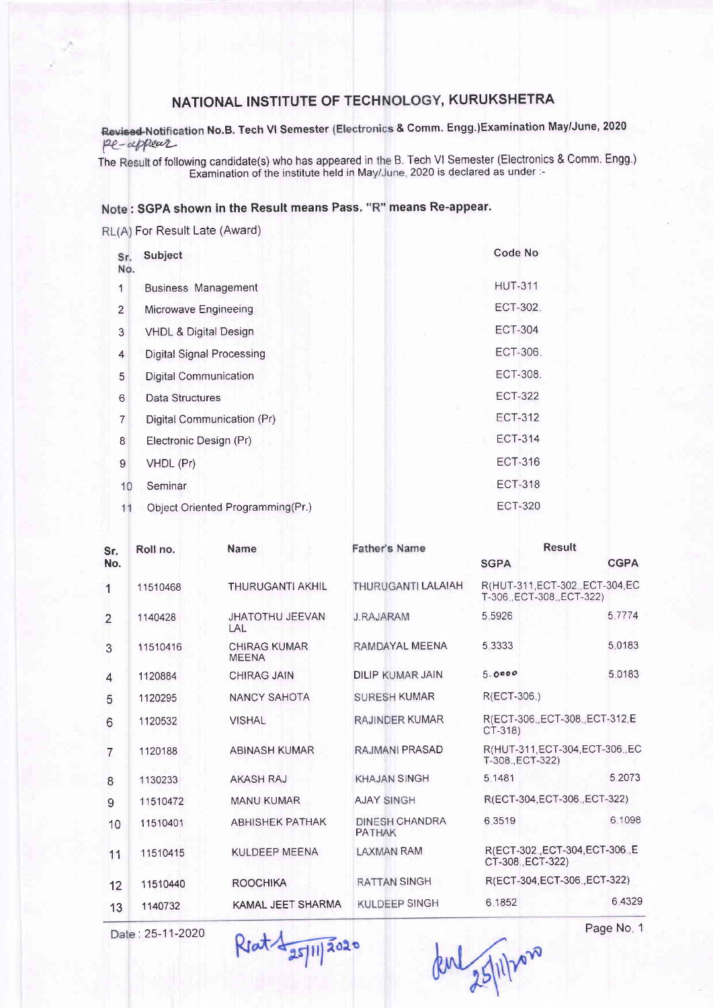## NATIONAL INSTITUTE OF TECHNOLOGY, KURUKSHETRA

pe-uppear No.B. Tech Vl Semester & Comm. Engg.)Examination May/June, 2020

The Result of following candidate(s) who has appeared in the B. Tech VI Semester (Electronics & Comm. Engg.) Examination of the institute held in May/June, 2020 is declared as under :-

## : SGPA shown in the Result means Pass. "R" means Re-appear.

RL(A) For Result Late (Award)

| Sr.<br>No.     | Subject                          | Code No        |
|----------------|----------------------------------|----------------|
| 1              | <b>Business Management</b>       | <b>HUT-311</b> |
| $\overline{2}$ | Microwave Engineeing             | ECT-302.       |
| 3              | <b>VHDL &amp; Digital Design</b> | <b>ECT-304</b> |
| 4              | <b>Digital Signal Processing</b> | ECT-306.       |
| 5              | <b>Digital Communication</b>     | ECT-308.       |
| 6              | Data Structures                  | <b>ECT-322</b> |
| 7              | Digital Communication (Pr)       | <b>ECT-312</b> |
| 8              | Electronic Design (Pr)           | <b>ECT-314</b> |
| $9$            | VHDL (Pr)                        | ECT-316        |
| 10             | Seminar                          | <b>ECT-318</b> |
|                | Object Oriented Programming(Pr.) | <b>ECT-320</b> |

| Sr.            | Roll no. | Name                                | <b>Father's Name</b>                   | <b>Result</b>                                             |             |
|----------------|----------|-------------------------------------|----------------------------------------|-----------------------------------------------------------|-------------|
| No.            |          |                                     |                                        | <b>SGPA</b>                                               | <b>CGPA</b> |
| 1              | 11510468 | <b>THURUGANTI AKHIL</b>             | THURUGANTI LALAIAH                     | R(HUT-311, ECT-302, ECT-304, EC<br>T-306 ECT-308 ECT-322) |             |
| $\overline{2}$ | 1140428  | <b>JHATOTHU JEEVAN</b><br> AL       | <b>J.RAJARAM</b>                       | 5.5926                                                    | 5 7 7 7 4   |
| 3              | 11510416 | <b>CHIRAG KUMAR</b><br><b>MEENA</b> | RAMDAYAL MEENA                         | 5 3 3 3 3 3                                               | 5.0183      |
| $\overline{4}$ | 1120884  | <b>CHIRAG JAIN</b>                  | <b>DILIP KUMAR JAIN</b>                | 5.0000                                                    | 5.0183      |
| 5              | 1120295  | <b>NANCY SAHOTA</b>                 | <b>SURESH KUMAR</b>                    | R(ECT-306.)                                               |             |
| 6              | 1120532  | <b>VISHAL</b>                       | RAJINDER KUMAR                         | R(ECT-306 ECT-308 ECT-312 E<br>CT-318)                    |             |
| $\overline{7}$ | 1120188  | <b>ABINASH KUMAR</b>                | RAJMANI PRASAD                         | R(HUT-311 ECT-304 ECT-306 EC<br>T-308 , ECT-322)          |             |
| 8              | 1130233  | <b>AKASH RAJ</b>                    | <b>KHAJAN SINGH</b>                    | 5.1481                                                    | 5.2073      |
| 9              | 11510472 | <b>MANU KUMAR</b>                   | <b>AJAY SINGH</b>                      | R(ECT-304.ECT-306., ECT-322)                              |             |
| 10             | 11510401 | <b>ABHISHEK PATHAK</b>              | <b>DINESH CHANDRA</b><br><b>PATHAK</b> | 6.3519                                                    | 6.1098      |
| 11             | 11510415 | KULDEEP MEENA                       | <b>LAXMAN RAM</b>                      | R(ECT-302, ECT-304, ECT-306, E<br>CT-308 ECT-322)         |             |
| 12             | 11510440 | <b>ROOCHIKA</b>                     | <b>RATTAN SINGH</b>                    | R(ECT-304 ECT-306 ECT-322)                                |             |
| 13             | 1140732  | KAMAL JEET SHARMA                   | <b>KULDEEP SINGH</b>                   | 6.1852                                                    | 6.4329      |

Date: 25-11-2020 Rout 4 25/11/2020 Page No. 1